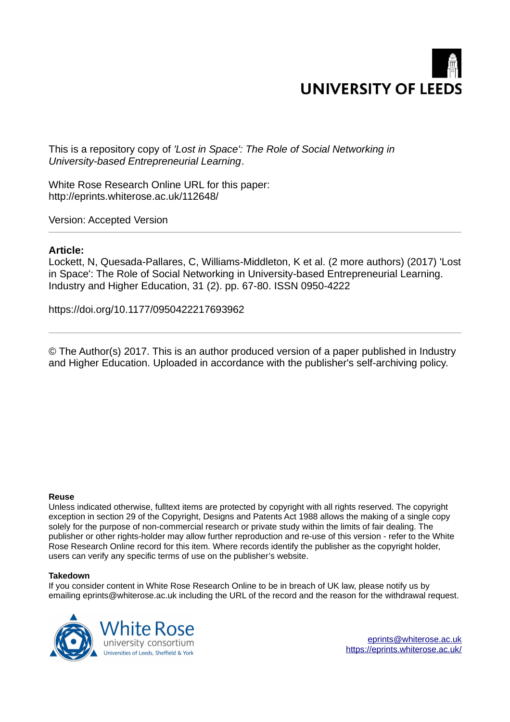

This is a repository copy of *'Lost in Space': The Role of Social Networking in University-based Entrepreneurial Learning*.

White Rose Research Online URL for this paper: http://eprints.whiterose.ac.uk/112648/

Version: Accepted Version

# **Article:**

Lockett, N, Quesada-Pallares, C, Williams-Middleton, K et al. (2 more authors) (2017) 'Lost in Space': The Role of Social Networking in University-based Entrepreneurial Learning. Industry and Higher Education, 31 (2). pp. 67-80. ISSN 0950-4222

https://doi.org/10.1177/0950422217693962

© The Author(s) 2017. This is an author produced version of a paper published in Industry and Higher Education. Uploaded in accordance with the publisher's self-archiving policy.

### **Reuse**

Unless indicated otherwise, fulltext items are protected by copyright with all rights reserved. The copyright exception in section 29 of the Copyright, Designs and Patents Act 1988 allows the making of a single copy solely for the purpose of non-commercial research or private study within the limits of fair dealing. The publisher or other rights-holder may allow further reproduction and re-use of this version - refer to the White Rose Research Online record for this item. Where records identify the publisher as the copyright holder, users can verify any specific terms of use on the publisher's website.

#### **Takedown**

If you consider content in White Rose Research Online to be in breach of UK law, please notify us by emailing eprints@whiterose.ac.uk including the URL of the record and the reason for the withdrawal request.

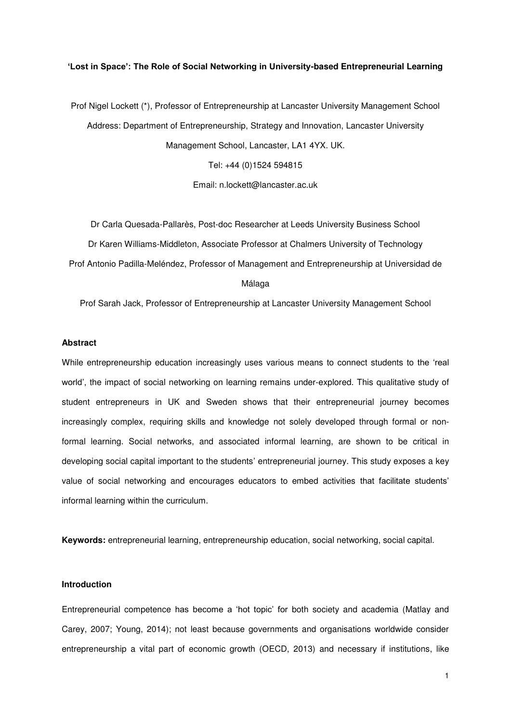### **'Lost in Space': The Role of Social Networking in University-based Entrepreneurial Learning**

Prof Nigel Lockett (\*), Professor of Entrepreneurship at Lancaster University Management School Address: Department of Entrepreneurship, Strategy and Innovation, Lancaster University Management School, Lancaster, LA1 4YX. UK.

Tel: +44 (0)1524 594815

Email: n.lockett@lancaster.ac.uk

Dr Carla Quesada-Pallarès, Post-doc Researcher at Leeds University Business School Dr Karen Williams-Middleton, Associate Professor at Chalmers University of Technology Prof Antonio Padilla-Meléndez, Professor of Management and Entrepreneurship at Universidad de Málaga

Prof Sarah Jack, Professor of Entrepreneurship at Lancaster University Management School

## **Abstract**

While entrepreneurship education increasingly uses various means to connect students to the 'real world', the impact of social networking on learning remains under-explored. This qualitative study of student entrepreneurs in UK and Sweden shows that their entrepreneurial journey becomes increasingly complex, requiring skills and knowledge not solely developed through formal or nonformal learning. Social networks, and associated informal learning, are shown to be critical in developing social capital important to the students' entrepreneurial journey. This study exposes a key value of social networking and encourages educators to embed activities that facilitate students' informal learning within the curriculum.

**Keywords:** entrepreneurial learning, entrepreneurship education, social networking, social capital.

#### **Introduction**

Entrepreneurial competence has become a 'hot topic' for both society and academia (Matlay and Carey, 2007; Young, 2014); not least because governments and organisations worldwide consider entrepreneurship a vital part of economic growth (OECD, 2013) and necessary if institutions, like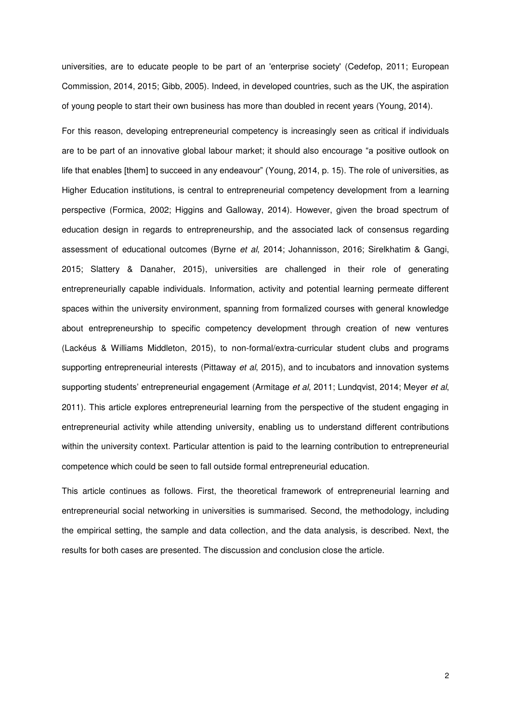universities, are to educate people to be part of an 'enterprise society' (Cedefop, 2011; European Commission, 2014, 2015; Gibb, 2005). Indeed, in developed countries, such as the UK, the aspiration of young people to start their own business has more than doubled in recent years (Young, 2014).

For this reason, developing entrepreneurial competency is increasingly seen as critical if individuals are to be part of an innovative global labour market; it should also encourage "a positive outlook on life that enables [them] to succeed in any endeavour" (Young, 2014, p. 15). The role of universities, as Higher Education institutions, is central to entrepreneurial competency development from a learning perspective (Formica, 2002; Higgins and Galloway, 2014). However, given the broad spectrum of education design in regards to entrepreneurship, and the associated lack of consensus regarding assessment of educational outcomes (Byrne *et al*, 2014; Johannisson, 2016; Sirelkhatim & Gangi, 2015; Slattery & Danaher, 2015), universities are challenged in their role of generating entrepreneurially capable individuals. Information, activity and potential learning permeate different spaces within the university environment, spanning from formalized courses with general knowledge about entrepreneurship to specific competency development through creation of new ventures (Lackéus & Williams Middleton, 2015), to non-formal/extra-curricular student clubs and programs supporting entrepreneurial interests (Pittaway *et al*, 2015), and to incubators and innovation systems supporting students' entrepreneurial engagement (Armitage *et al*, 2011; Lundqvist, 2014; Meyer *et al*, 2011). This article explores entrepreneurial learning from the perspective of the student engaging in entrepreneurial activity while attending university, enabling us to understand different contributions within the university context. Particular attention is paid to the learning contribution to entrepreneurial competence which could be seen to fall outside formal entrepreneurial education.

This article continues as follows. First, the theoretical framework of entrepreneurial learning and entrepreneurial social networking in universities is summarised. Second, the methodology, including the empirical setting, the sample and data collection, and the data analysis, is described. Next, the results for both cases are presented. The discussion and conclusion close the article.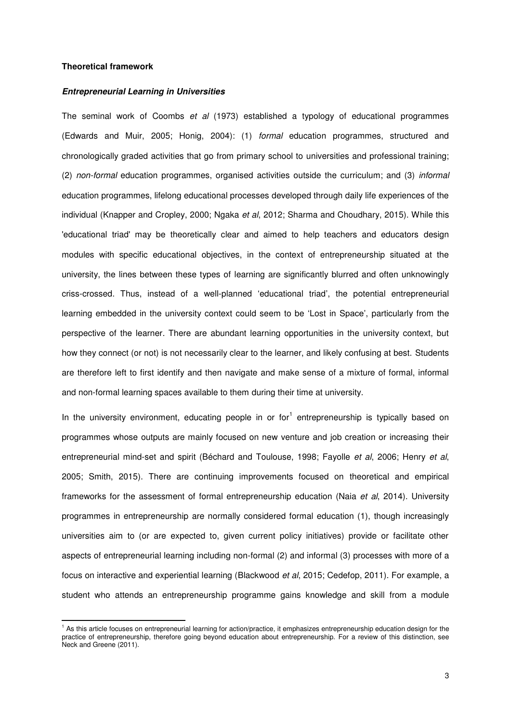### **Theoretical framework**

 $\overline{a}$ 

#### *Entrepreneurial Learning in Universities*

The seminal work of Coombs *et al* (1973) established a typology of educational programmes (Edwards and Muir, 2005; Honig, 2004): (1) *formal* education programmes, structured and chronologically graded activities that go from primary school to universities and professional training; (2) *non-formal* education programmes, organised activities outside the curriculum; and (3) *informal* education programmes, lifelong educational processes developed through daily life experiences of the individual (Knapper and Cropley, 2000; Ngaka *et al*, 2012; Sharma and Choudhary, 2015). While this 'educational triad' may be theoretically clear and aimed to help teachers and educators design modules with specific educational objectives, in the context of entrepreneurship situated at the university, the lines between these types of learning are significantly blurred and often unknowingly criss-crossed. Thus, instead of a well-planned 'educational triad', the potential entrepreneurial learning embedded in the university context could seem to be 'Lost in Space', particularly from the perspective of the learner. There are abundant learning opportunities in the university context, but how they connect (or not) is not necessarily clear to the learner, and likely confusing at best. Students are therefore left to first identify and then navigate and make sense of a mixture of formal, informal and non-formal learning spaces available to them during their time at university.

In the university environment, educating people in or for<sup>1</sup> entrepreneurship is typically based on programmes whose outputs are mainly focused on new venture and job creation or increasing their entrepreneurial mind-set and spirit (Béchard and Toulouse, 1998; Fayolle *et al*, 2006; Henry *et al*, 2005; Smith, 2015). There are continuing improvements focused on theoretical and empirical frameworks for the assessment of formal entrepreneurship education (Naia *et al*, 2014). University programmes in entrepreneurship are normally considered formal education (1), though increasingly universities aim to (or are expected to, given current policy initiatives) provide or facilitate other aspects of entrepreneurial learning including non-formal (2) and informal (3) processes with more of a focus on interactive and experiential learning (Blackwood *et al*, 2015; Cedefop, 2011). For example, a student who attends an entrepreneurship programme gains knowledge and skill from a module

<sup>&</sup>lt;sup>1</sup> As this article focuses on entrepreneurial learning for action/practice, it emphasizes entrepreneurship education design for the practice of entrepreneurship, therefore going beyond education about entrepreneurship. For a review of this distinction, see Neck and Greene (2011).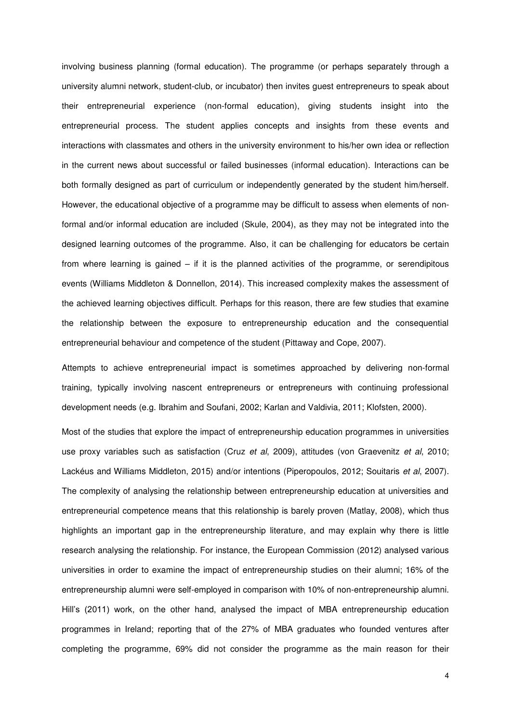involving business planning (formal education). The programme (or perhaps separately through a university alumni network, student-club, or incubator) then invites guest entrepreneurs to speak about their entrepreneurial experience (non-formal education), giving students insight into the entrepreneurial process. The student applies concepts and insights from these events and interactions with classmates and others in the university environment to his/her own idea or reflection in the current news about successful or failed businesses (informal education). Interactions can be both formally designed as part of curriculum or independently generated by the student him/herself. However, the educational objective of a programme may be difficult to assess when elements of nonformal and/or informal education are included (Skule, 2004), as they may not be integrated into the designed learning outcomes of the programme. Also, it can be challenging for educators be certain from where learning is gained – if it is the planned activities of the programme, or serendipitous events (Williams Middleton & Donnellon, 2014). This increased complexity makes the assessment of the achieved learning objectives difficult. Perhaps for this reason, there are few studies that examine the relationship between the exposure to entrepreneurship education and the consequential entrepreneurial behaviour and competence of the student (Pittaway and Cope, 2007).

Attempts to achieve entrepreneurial impact is sometimes approached by delivering non-formal training, typically involving nascent entrepreneurs or entrepreneurs with continuing professional development needs (e.g. Ibrahim and Soufani, 2002; Karlan and Valdivia, 2011; Klofsten, 2000).

Most of the studies that explore the impact of entrepreneurship education programmes in universities use proxy variables such as satisfaction (Cruz *et al*, 2009), attitudes (von Graevenitz *et al*, 2010; Lackéus and Williams Middleton, 2015) and/or intentions (Piperopoulos, 2012; Souitaris *et al*, 2007). The complexity of analysing the relationship between entrepreneurship education at universities and entrepreneurial competence means that this relationship is barely proven (Matlay, 2008), which thus highlights an important gap in the entrepreneurship literature, and may explain why there is little research analysing the relationship. For instance, the European Commission (2012) analysed various universities in order to examine the impact of entrepreneurship studies on their alumni; 16% of the entrepreneurship alumni were self-employed in comparison with 10% of non-entrepreneurship alumni. Hill's (2011) work, on the other hand, analysed the impact of MBA entrepreneurship education programmes in Ireland; reporting that of the 27% of MBA graduates who founded ventures after completing the programme, 69% did not consider the programme as the main reason for their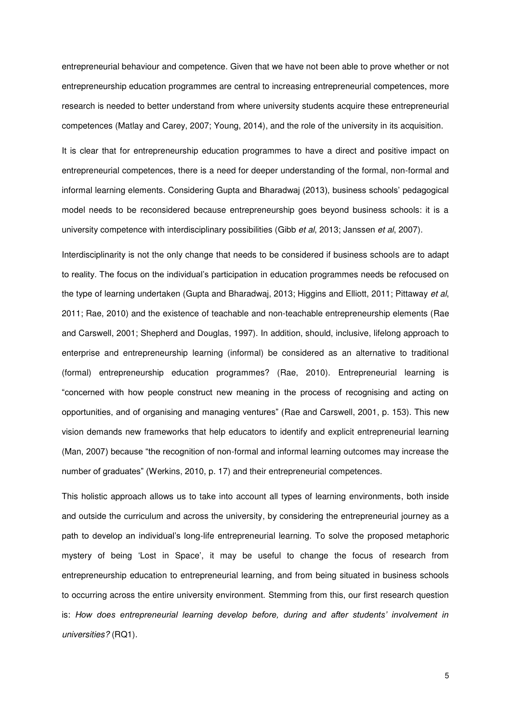entrepreneurial behaviour and competence. Given that we have not been able to prove whether or not entrepreneurship education programmes are central to increasing entrepreneurial competences, more research is needed to better understand from where university students acquire these entrepreneurial competences (Matlay and Carey, 2007; Young, 2014), and the role of the university in its acquisition.

It is clear that for entrepreneurship education programmes to have a direct and positive impact on entrepreneurial competences, there is a need for deeper understanding of the formal, non-formal and informal learning elements. Considering Gupta and Bharadwaj (2013), business schools' pedagogical model needs to be reconsidered because entrepreneurship goes beyond business schools: it is a university competence with interdisciplinary possibilities (Gibb *et al*, 2013; Janssen *et al*, 2007).

Interdisciplinarity is not the only change that needs to be considered if business schools are to adapt to reality. The focus on the individual's participation in education programmes needs be refocused on the type of learning undertaken (Gupta and Bharadwaj, 2013; Higgins and Elliott, 2011; Pittaway *et al*, 2011; Rae, 2010) and the existence of teachable and non-teachable entrepreneurship elements (Rae and Carswell, 2001; Shepherd and Douglas, 1997). In addition, should, inclusive, lifelong approach to enterprise and entrepreneurship learning (informal) be considered as an alternative to traditional (formal) entrepreneurship education programmes? (Rae, 2010). Entrepreneurial learning is "concerned with how people construct new meaning in the process of recognising and acting on opportunities, and of organising and managing ventures" (Rae and Carswell, 2001, p. 153). This new vision demands new frameworks that help educators to identify and explicit entrepreneurial learning (Man, 2007) because "the recognition of non-formal and informal learning outcomes may increase the number of graduates" (Werkins, 2010, p. 17) and their entrepreneurial competences.

This holistic approach allows us to take into account all types of learning environments, both inside and outside the curriculum and across the university, by considering the entrepreneurial journey as a path to develop an individual's long-life entrepreneurial learning. To solve the proposed metaphoric mystery of being 'Lost in Space', it may be useful to change the focus of research from entrepreneurship education to entrepreneurial learning, and from being situated in business schools to occurring across the entire university environment. Stemming from this, our first research question is: *How does entrepreneurial learning develop before, during and after students' involvement in universities?* (RQ1)*.*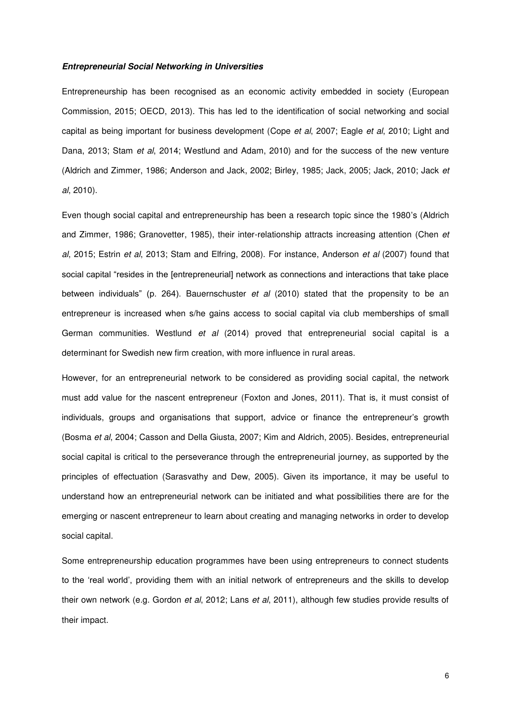### *Entrepreneurial Social Networking in Universities*

Entrepreneurship has been recognised as an economic activity embedded in society (European Commission, 2015; OECD, 2013). This has led to the identification of social networking and social capital as being important for business development (Cope *et al*, 2007; Eagle *et al*, 2010; Light and Dana, 2013; Stam *et al*, 2014; Westlund and Adam, 2010) and for the success of the new venture (Aldrich and Zimmer, 1986; Anderson and Jack, 2002; Birley, 1985; Jack, 2005; Jack, 2010; Jack *et al*, 2010).

Even though social capital and entrepreneurship has been a research topic since the 1980's (Aldrich and Zimmer, 1986; Granovetter, 1985), their inter-relationship attracts increasing attention (Chen *et al*, 2015; Estrin *et al*, 2013; Stam and Elfring, 2008). For instance, Anderson *et al* (2007) found that social capital "resides in the [entrepreneurial] network as connections and interactions that take place between individuals" (p. 264). Bauernschuster *et al* (2010) stated that the propensity to be an entrepreneur is increased when s/he gains access to social capital via club memberships of small German communities. Westlund *et al* (2014) proved that entrepreneurial social capital is a determinant for Swedish new firm creation, with more influence in rural areas.

However, for an entrepreneurial network to be considered as providing social capital, the network must add value for the nascent entrepreneur (Foxton and Jones, 2011). That is, it must consist of individuals, groups and organisations that support, advice or finance the entrepreneur's growth (Bosma *et al*, 2004; Casson and Della Giusta, 2007; Kim and Aldrich, 2005). Besides, entrepreneurial social capital is critical to the perseverance through the entrepreneurial journey, as supported by the principles of effectuation (Sarasvathy and Dew, 2005). Given its importance, it may be useful to understand how an entrepreneurial network can be initiated and what possibilities there are for the emerging or nascent entrepreneur to learn about creating and managing networks in order to develop social capital.

Some entrepreneurship education programmes have been using entrepreneurs to connect students to the 'real world', providing them with an initial network of entrepreneurs and the skills to develop their own network (e.g. Gordon *et al*, 2012; Lans *et al*, 2011), although few studies provide results of their impact.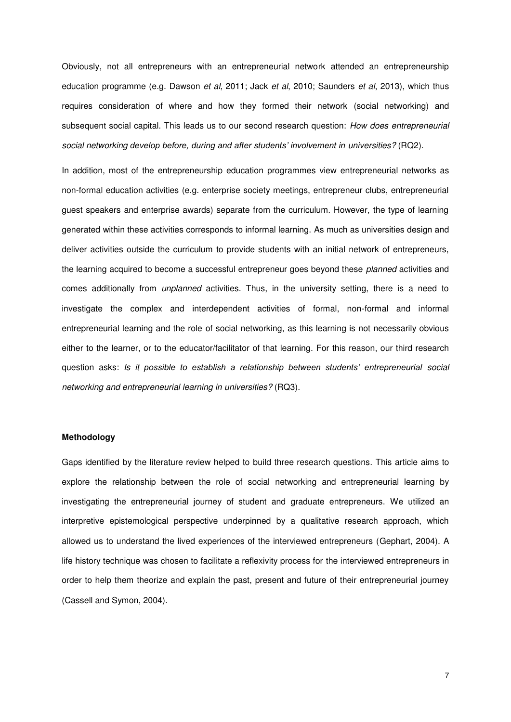Obviously, not all entrepreneurs with an entrepreneurial network attended an entrepreneurship education programme (e.g. Dawson *et al*, 2011; Jack *et al*, 2010; Saunders *et al*, 2013), which thus requires consideration of where and how they formed their network (social networking) and subsequent social capital. This leads us to our second research question: *How does entrepreneurial social networking develop before, during and after students' involvement in universities?* (RQ2).

In addition, most of the entrepreneurship education programmes view entrepreneurial networks as non-formal education activities (e.g. enterprise society meetings, entrepreneur clubs, entrepreneurial guest speakers and enterprise awards) separate from the curriculum. However, the type of learning generated within these activities corresponds to informal learning. As much as universities design and deliver activities outside the curriculum to provide students with an initial network of entrepreneurs, the learning acquired to become a successful entrepreneur goes beyond these *planned* activities and comes additionally from *unplanned* activities. Thus, in the university setting, there is a need to investigate the complex and interdependent activities of formal, non-formal and informal entrepreneurial learning and the role of social networking, as this learning is not necessarily obvious either to the learner, or to the educator/facilitator of that learning. For this reason, our third research question asks: *Is it possible to establish a relationship between students' entrepreneurial social networking and entrepreneurial learning in universities?* (RQ3).

### **Methodology**

Gaps identified by the literature review helped to build three research questions. This article aims to explore the relationship between the role of social networking and entrepreneurial learning by investigating the entrepreneurial journey of student and graduate entrepreneurs. We utilized an interpretive epistemological perspective underpinned by a qualitative research approach, which allowed us to understand the lived experiences of the interviewed entrepreneurs (Gephart, 2004). A life history technique was chosen to facilitate a reflexivity process for the interviewed entrepreneurs in order to help them theorize and explain the past, present and future of their entrepreneurial journey (Cassell and Symon, 2004).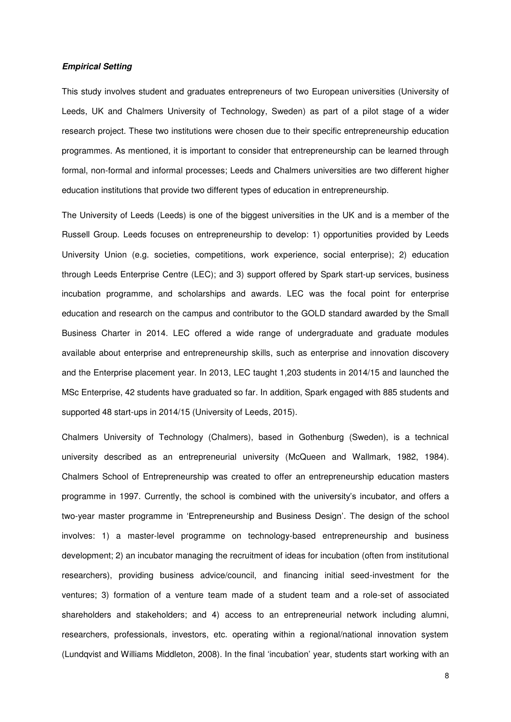## *Empirical Setting*

This study involves student and graduates entrepreneurs of two European universities (University of Leeds, UK and Chalmers University of Technology, Sweden) as part of a pilot stage of a wider research project. These two institutions were chosen due to their specific entrepreneurship education programmes. As mentioned, it is important to consider that entrepreneurship can be learned through formal, non-formal and informal processes; Leeds and Chalmers universities are two different higher education institutions that provide two different types of education in entrepreneurship.

The University of Leeds (Leeds) is one of the biggest universities in the UK and is a member of the Russell Group. Leeds focuses on entrepreneurship to develop: 1) opportunities provided by Leeds University Union (e.g. societies, competitions, work experience, social enterprise); 2) education through Leeds Enterprise Centre (LEC); and 3) support offered by Spark start-up services, business incubation programme, and scholarships and awards. LEC was the focal point for enterprise education and research on the campus and contributor to the GOLD standard awarded by the Small Business Charter in 2014. LEC offered a wide range of undergraduate and graduate modules available about enterprise and entrepreneurship skills, such as enterprise and innovation discovery and the Enterprise placement year. In 2013, LEC taught 1,203 students in 2014/15 and launched the MSc Enterprise, 42 students have graduated so far. In addition, Spark engaged with 885 students and supported 48 start-ups in 2014/15 (University of Leeds, 2015).

Chalmers University of Technology (Chalmers), based in Gothenburg (Sweden), is a technical university described as an entrepreneurial university (McQueen and Wallmark, 1982, 1984). Chalmers School of Entrepreneurship was created to offer an entrepreneurship education masters programme in 1997. Currently, the school is combined with the university's incubator, and offers a two-year master programme in 'Entrepreneurship and Business Design'. The design of the school involves: 1) a master-level programme on technology-based entrepreneurship and business development; 2) an incubator managing the recruitment of ideas for incubation (often from institutional researchers), providing business advice/council, and financing initial seed-investment for the ventures; 3) formation of a venture team made of a student team and a role-set of associated shareholders and stakeholders; and 4) access to an entrepreneurial network including alumni, researchers, professionals, investors, etc. operating within a regional/national innovation system (Lundqvist and Williams Middleton, 2008). In the final 'incubation' year, students start working with an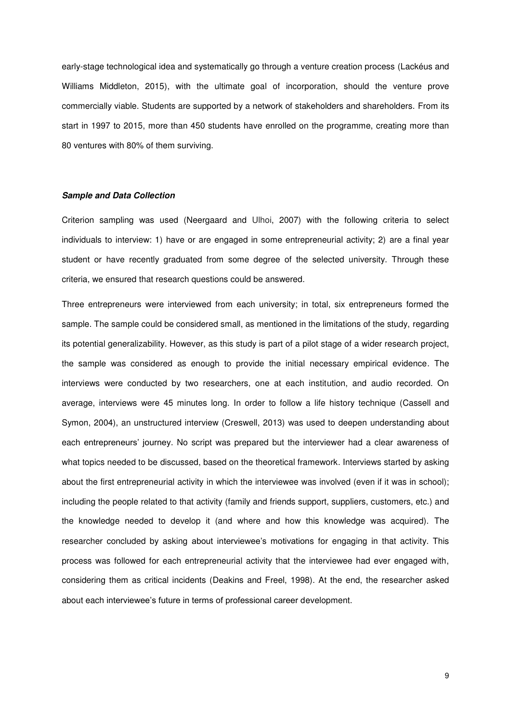early-stage technological idea and systematically go through a venture creation process (Lackéus and Williams Middleton, 2015), with the ultimate goal of incorporation, should the venture prove commercially viable. Students are supported by a network of stakeholders and shareholders. From its start in 1997 to 2015, more than 450 students have enrolled on the programme, creating more than 80 ventures with 80% of them surviving.

### *Sample and Data Collection*

Criterion sampling was used (Neergaard and Ulhoi, 2007) with the following criteria to select individuals to interview: 1) have or are engaged in some entrepreneurial activity; 2) are a final year student or have recently graduated from some degree of the selected university. Through these criteria, we ensured that research questions could be answered.

Three entrepreneurs were interviewed from each university; in total, six entrepreneurs formed the sample. The sample could be considered small, as mentioned in the limitations of the study, regarding its potential generalizability. However, as this study is part of a pilot stage of a wider research project, the sample was considered as enough to provide the initial necessary empirical evidence. The interviews were conducted by two researchers, one at each institution, and audio recorded. On average, interviews were 45 minutes long. In order to follow a life history technique (Cassell and Symon, 2004), an unstructured interview (Creswell, 2013) was used to deepen understanding about each entrepreneurs' journey. No script was prepared but the interviewer had a clear awareness of what topics needed to be discussed, based on the theoretical framework. Interviews started by asking about the first entrepreneurial activity in which the interviewee was involved (even if it was in school); including the people related to that activity (family and friends support, suppliers, customers, etc.) and the knowledge needed to develop it (and where and how this knowledge was acquired). The researcher concluded by asking about interviewee's motivations for engaging in that activity. This process was followed for each entrepreneurial activity that the interviewee had ever engaged with, considering them as critical incidents (Deakins and Freel, 1998). At the end, the researcher asked about each interviewee's future in terms of professional career development.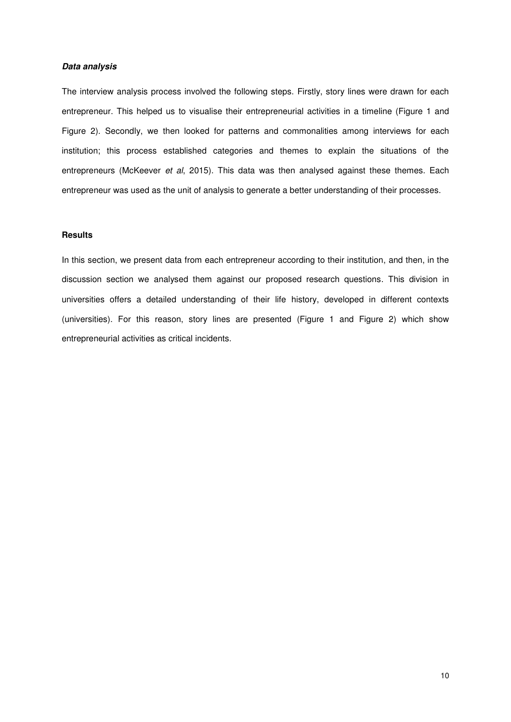## *Data analysis*

The interview analysis process involved the following steps. Firstly, story lines were drawn for each entrepreneur. This helped us to visualise their entrepreneurial activities in a timeline (Figure 1 and Figure 2). Secondly, we then looked for patterns and commonalities among interviews for each institution; this process established categories and themes to explain the situations of the entrepreneurs (McKeever *et al*, 2015). This data was then analysed against these themes. Each entrepreneur was used as the unit of analysis to generate a better understanding of their processes.

## **Results**

In this section, we present data from each entrepreneur according to their institution, and then, in the discussion section we analysed them against our proposed research questions. This division in universities offers a detailed understanding of their life history, developed in different contexts (universities). For this reason, story lines are presented (Figure 1 and Figure 2) which show entrepreneurial activities as critical incidents.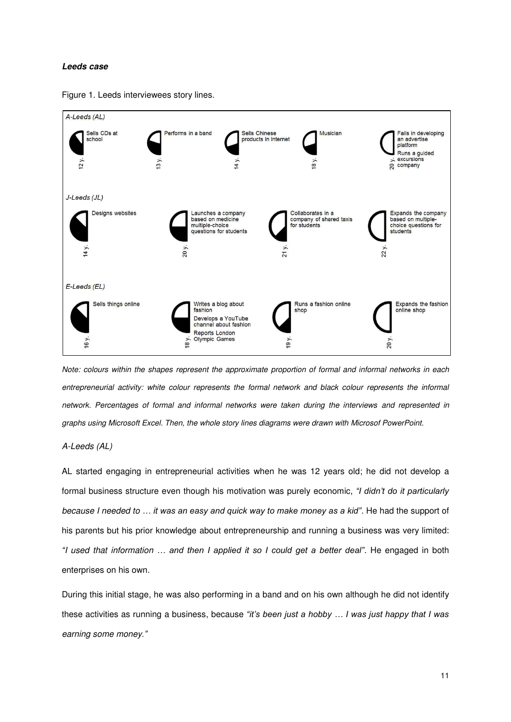#### *Leeds case*



Figure 1. Leeds interviewees story lines.

*Note: colours within the shapes represent the approximate proportion of formal and informal networks in each*  entrepreneurial activity: white colour represents the formal network and black colour represents the informal *network. Percentages of formal and informal networks were taken during the interviews and represented in graphs using Microsoft Excel. Then, the whole story lines diagrams were drawn with Microsof PowerPoint.* 

### *A-Leeds (AL)*

AL started engaging in entrepreneurial activities when he was 12 years old; he did not develop a formal business structure even though his motivation was purely economic, *"I didn't do it particularly because I needed to … it was an easy and quick way to make money as a kid"*. He had the support of his parents but his prior knowledge about entrepreneurship and running a business was very limited: *"I used that information … and then I applied it so I could get a better deal"*. He engaged in both enterprises on his own.

During this initial stage, he was also performing in a band and on his own although he did not identify these activities as running a business, because *"it's been just a hobby … I was just happy that I was earning some money."*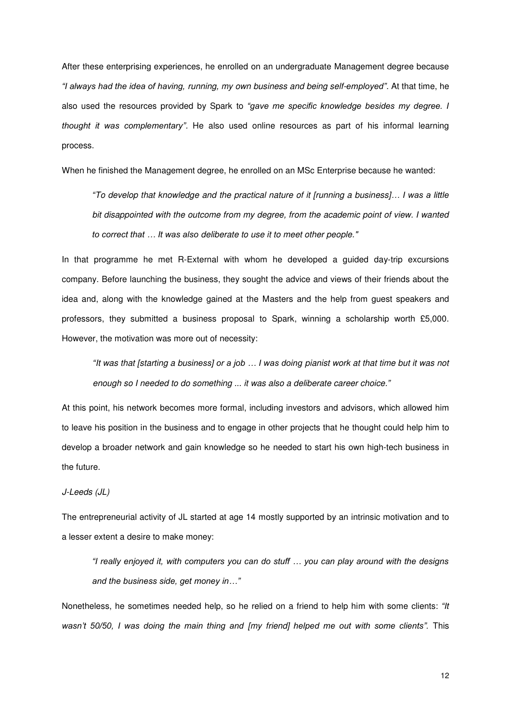After these enterprising experiences, he enrolled on an undergraduate Management degree because *"I always had the idea of having, running, my own business and being self-employed".* At that time, he also used the resources provided by Spark to *"gave me specific knowledge besides my degree. I thought it was complementary".* He also used online resources as part of his informal learning process.

When he finished the Management degree, he enrolled on an MSc Enterprise because he wanted:

*"To develop that knowledge and the practical nature of it [running a business]… I was a little bit disappointed with the outcome from my degree, from the academic point of view. I wanted to correct that … It was also deliberate to use it to meet other people."*

In that programme he met R-External with whom he developed a guided day-trip excursions company. Before launching the business, they sought the advice and views of their friends about the idea and, along with the knowledge gained at the Masters and the help from guest speakers and professors, they submitted a business proposal to Spark, winning a scholarship worth £5,000. However, the motivation was more out of necessity:

*"It was that [starting a business] or a job … I was doing pianist work at that time but it was not enough so I needed to do something ... it was also a deliberate career choice."* 

At this point, his network becomes more formal, including investors and advisors, which allowed him to leave his position in the business and to engage in other projects that he thought could help him to develop a broader network and gain knowledge so he needed to start his own high-tech business in the future.

## *J-Leeds (JL)*

The entrepreneurial activity of JL started at age 14 mostly supported by an intrinsic motivation and to a lesser extent a desire to make money:

*"I really enjoyed it, with computers you can do stuff … you can play around with the designs and the business side, get money in…"*

Nonetheless, he sometimes needed help, so he relied on a friend to help him with some clients: *"It wasn't 50/50, I was doing the main thing and [my friend] helped me out with some clients".* This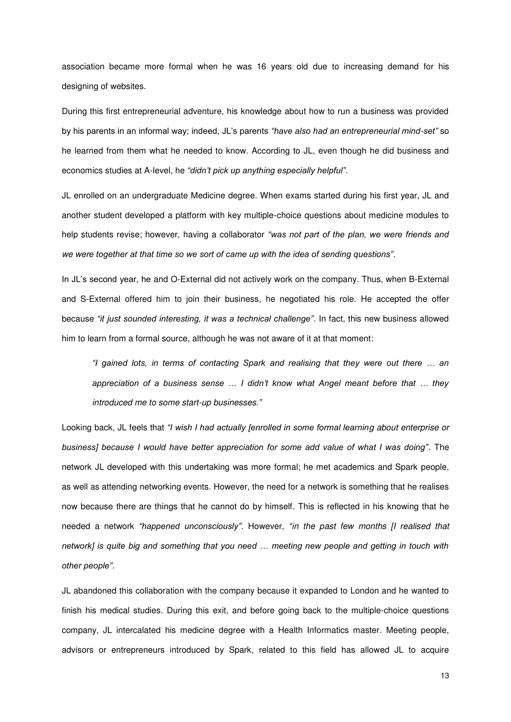association became more formal when he was 16 years old due to increasing demand for his designing of websites.

During this first entrepreneurial adventure, his knowledge about how to run a business was provided by his parents in an informal way; indeed, JL's parents *"have also had an entrepreneurial mind-set"* so he learned from them what he needed to know. According to JL, even though he did business and economics studies at A-level, he *"didn't pick up anything especially helpful"*.

JL enrolled on an undergraduate Medicine degree. When exams started during his first year, JL and another student developed a platform with key multiple-choice questions about medicine modules to help students revise; however, having a collaborator *"was not part of the plan, we were friends and we were together at that time so we sort of came up with the idea of sending questions"*.

In JL's second year, he and O-External did not actively work on the company. Thus, when B-External and S-External offered him to join their business, he negotiated his role. He accepted the offer because *"it just sounded interesting, it was a technical challenge"*. In fact, this new business allowed him to learn from a formal source, although he was not aware of it at that moment:

*"I gained lots, in terms of contacting Spark and realising that they were out there … an appreciation of a business sense … I didn't know what Angel meant before that … they introduced me to some start-up businesses."*

Looking back, JL feels that *"I wish I had actually [enrolled in some formal learning about enterprise or business] because I would have better appreciation for some add value of what I was doing"*. The network JL developed with this undertaking was more formal; he met academics and Spark people, as well as attending networking events. However, the need for a network is something that he realises now because there are things that he cannot do by himself. This is reflected in his knowing that he needed a network *"happened unconsciously"*. However, *"in the past few months [I realised that network] is quite big and something that you need … meeting new people and getting in touch with other people"*.

JL abandoned this collaboration with the company because it expanded to London and he wanted to finish his medical studies. During this exit, and before going back to the multiple-choice questions company, JL intercalated his medicine degree with a Health Informatics master. Meeting people, advisors or entrepreneurs introduced by Spark, related to this field has allowed JL to acquire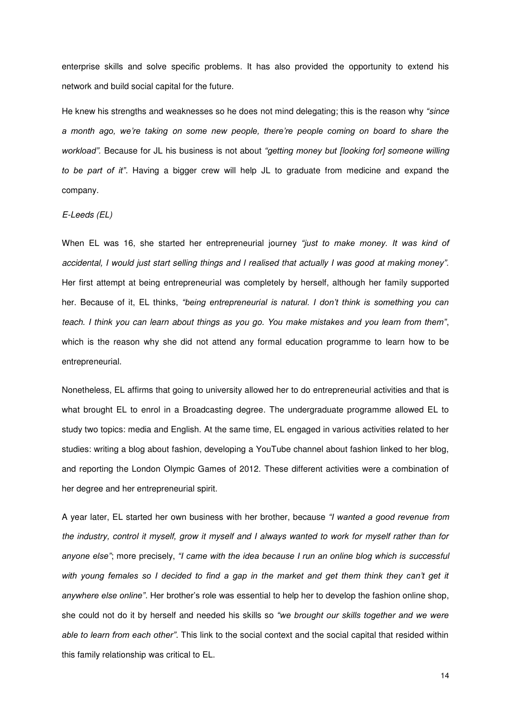enterprise skills and solve specific problems. It has also provided the opportunity to extend his network and build social capital for the future.

He knew his strengths and weaknesses so he does not mind delegating; this is the reason why *"since a month ago, we're taking on some new people, there're people coming on board to share the workload".* Because for JL his business is not about *"getting money but [looking for] someone willing to be part of it"*. Having a bigger crew will help JL to graduate from medicine and expand the company.

### *E-Leeds (EL)*

When EL was 16, she started her entrepreneurial journey *"just to make money. It was kind of accidental, I would just start selling things and I realised that actually I was good at making money".* Her first attempt at being entrepreneurial was completely by herself, although her family supported her. Because of it, EL thinks, *"being entrepreneurial is natural. I don't think is something you can teach. I think you can learn about things as you go. You make mistakes and you learn from them"*, which is the reason why she did not attend any formal education programme to learn how to be entrepreneurial.

Nonetheless, EL affirms that going to university allowed her to do entrepreneurial activities and that is what brought EL to enrol in a Broadcasting degree. The undergraduate programme allowed EL to study two topics: media and English. At the same time, EL engaged in various activities related to her studies: writing a blog about fashion, developing a YouTube channel about fashion linked to her blog, and reporting the London Olympic Games of 2012. These different activities were a combination of her degree and her entrepreneurial spirit.

A year later, EL started her own business with her brother, because *"I wanted a good revenue from the industry, control it myself, grow it myself and I always wanted to work for myself rather than for anyone else"*; more precisely, *"I came with the idea because I run an online blog which is successful*  with young females so I decided to find a gap in the market and get them think they can't get it *anywhere else online"*. Her brother's role was essential to help her to develop the fashion online shop, she could not do it by herself and needed his skills so *"we brought our skills together and we were able to learn from each other"*. This link to the social context and the social capital that resided within this family relationship was critical to EL.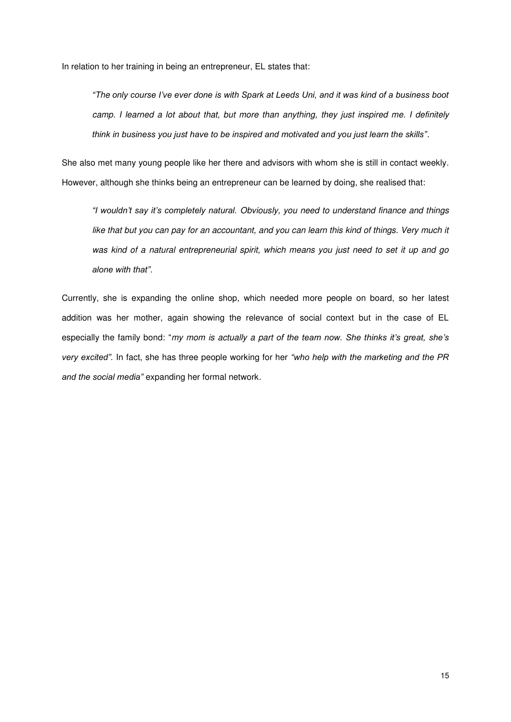In relation to her training in being an entrepreneur, EL states that:

*"The only course I've ever done is with Spark at Leeds Uni, and it was kind of a business boot camp. I learned a lot about that, but more than anything, they just inspired me. I definitely think in business you just have to be inspired and motivated and you just learn the skills"*.

She also met many young people like her there and advisors with whom she is still in contact weekly. However, although she thinks being an entrepreneur can be learned by doing, she realised that:

*"I wouldn't say it's completely natural. Obviously, you need to understand finance and things*  like that but you can pay for an accountant, and you can learn this kind of things. Very much it *was kind of a natural entrepreneurial spirit, which means you just need to set it up and go alone with that"*.

Currently, she is expanding the online shop, which needed more people on board, so her latest addition was her mother, again showing the relevance of social context but in the case of EL especially the family bond: "*my mom is actually a part of the team now. She thinks it's great, she's very excited".* In fact, she has three people working for her *"who help with the marketing and the PR and the social media"* expanding her formal network.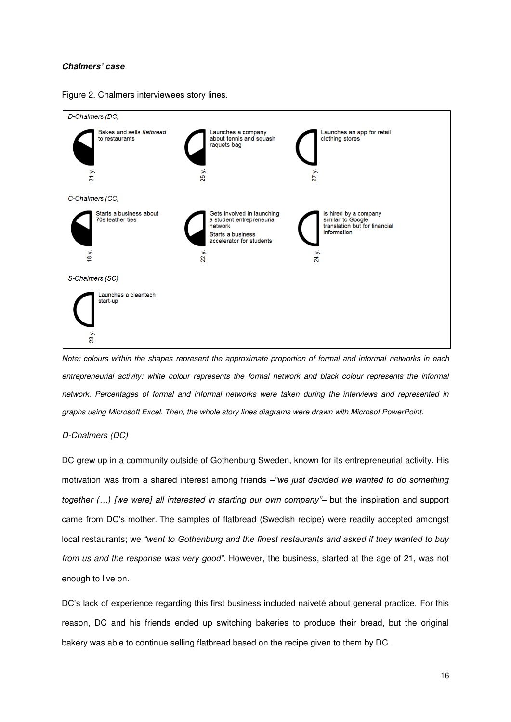### *Chalmers' case*





*Note: colours within the shapes represent the approximate proportion of formal and informal networks in each entrepreneurial activity: white colour represents the formal network and black colour represents the informal network. Percentages of formal and informal networks were taken during the interviews and represented in graphs using Microsoft Excel. Then, the whole story lines diagrams were drawn with Microsof PowerPoint.* 

#### *D-Chalmers (DC)*

DC grew up in a community outside of Gothenburg Sweden, known for its entrepreneurial activity. His motivation was from a shared interest among friends –*"we just decided we wanted to do something together (…) [we were] all interested in starting our own company"*– but the inspiration and support came from DC's mother. The samples of flatbread (Swedish recipe) were readily accepted amongst local restaurants; we *"went to Gothenburg and the finest restaurants and asked if they wanted to buy from us and the response was very good".* However, the business, started at the age of 21, was not enough to live on.

DC's lack of experience regarding this first business included naiveté about general practice. For this reason, DC and his friends ended up switching bakeries to produce their bread, but the original bakery was able to continue selling flatbread based on the recipe given to them by DC.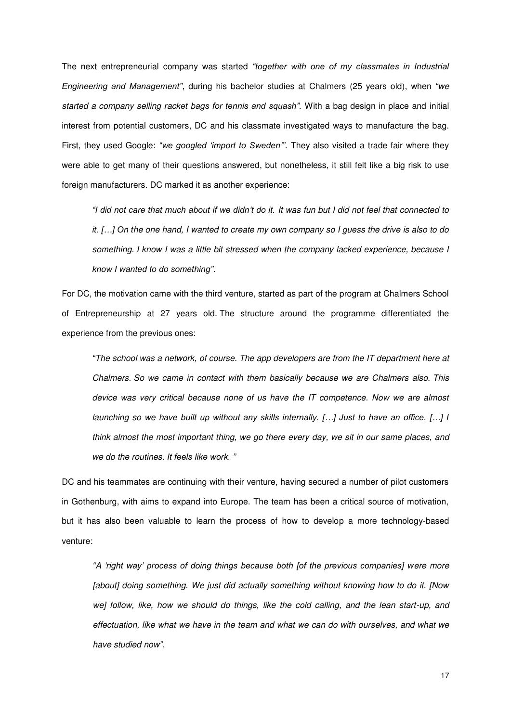The next entrepreneurial company was started *"together with one of my classmates in Industrial Engineering and Management"*, during his bachelor studies at Chalmers (25 years old), when *"we started a company selling racket bags for tennis and squash".* With a bag design in place and initial interest from potential customers, DC and his classmate investigated ways to manufacture the bag. First, they used Google: *"we googled 'import to Sweden'"*. They also visited a trade fair where they were able to get many of their questions answered, but nonetheless, it still felt like a big risk to use foreign manufacturers. DC marked it as another experience:

*"I did not care that much about if we didn't do it. It was fun but I did not feel that connected to it. […] On the one hand, I wanted to create my own company so I guess the drive is also to do something. I know I was a little bit stressed when the company lacked experience, because I know I wanted to do something".*

For DC, the motivation came with the third venture, started as part of the program at Chalmers School of Entrepreneurship at 27 years old. The structure around the programme differentiated the experience from the previous ones:

*"The school was a network, of course. The app developers are from the IT department here at Chalmers. So we came in contact with them basically because we are Chalmers also. This device was very critical because none of us have the IT competence. Now we are almost launching so we have built up without any skills internally. […] Just to have an office. […] I think almost the most important thing, we go there every day, we sit in our same places, and we do the routines. It feels like work. "* 

DC and his teammates are continuing with their venture, having secured a number of pilot customers in Gothenburg, with aims to expand into Europe. The team has been a critical source of motivation, but it has also been valuable to learn the process of how to develop a more technology-based venture:

*"A 'right way' process of doing things because both [of the previous companies] were more [about] doing something. We just did actually something without knowing how to do it. [Now*  we] follow, like, how we should do things, like the cold calling, and the lean start-up, and *effectuation, like what we have in the team and what we can do with ourselves, and what we have studied now".*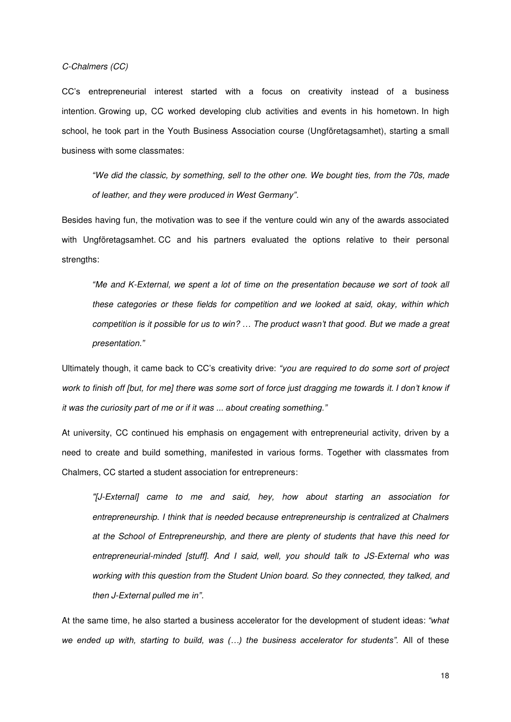### *C-Chalmers (CC)*

CC's entrepreneurial interest started with a focus on creativity instead of a business intention. Growing up, CC worked developing club activities and events in his hometown. In high school, he took part in the Youth Business Association course (Ungföretagsamhet), starting a small business with some classmates:

*"We did the classic, by something, sell to the other one. We bought ties, from the 70s, made of leather, and they were produced in West Germany".* 

Besides having fun, the motivation was to see if the venture could win any of the awards associated with Ungföretagsamhet. CC and his partners evaluated the options relative to their personal strengths:

*"Me and K-External, we spent a lot of time on the presentation because we sort of took all these categories or these fields for competition and we looked at said, okay, within which competition is it possible for us to win? … The product wasn't that good. But we made a great presentation."*

Ultimately though, it came back to CC's creativity drive: *"you are required to do some sort of project*  work to finish off [but, for me] there was some sort of force just dragging me towards it. I don't know if *it was the curiosity part of me or if it was ... about creating something."*

At university, CC continued his emphasis on engagement with entrepreneurial activity, driven by a need to create and build something, manifested in various forms. Together with classmates from Chalmers, CC started a student association for entrepreneurs:

*"[J-External] came to me and said, hey, how about starting an association for entrepreneurship. I think that is needed because entrepreneurship is centralized at Chalmers at the School of Entrepreneurship, and there are plenty of students that have this need for entrepreneurial-minded [stuff]. And I said, well, you should talk to JS-External who was working with this question from the Student Union board. So they connected, they talked, and then J-External pulled me in".*

At the same time, he also started a business accelerator for the development of student ideas: *"what we ended up with, starting to build, was (…) the business accelerator for students".* All of these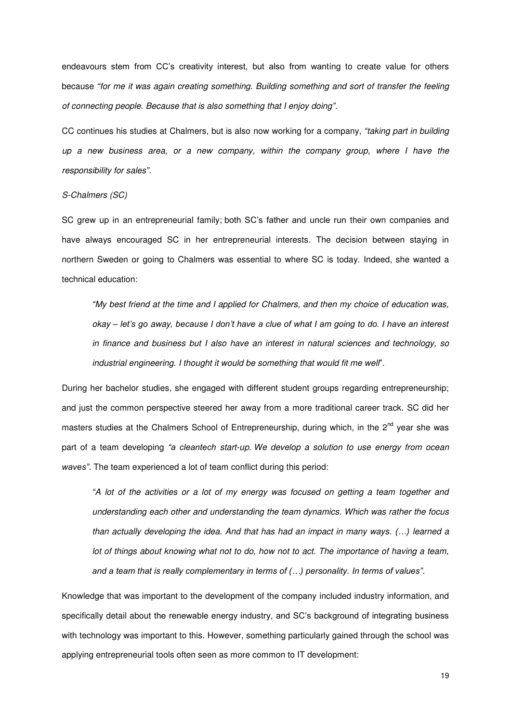endeavours stem from CC's creativity interest, but also from wanting to create value for others because *"for me it was again creating something. Building something and sort of transfer the feeling of connecting people. Because that is also something that I enjoy doing".*

CC continues his studies at Chalmers, but is also now working for a company, *"taking part in building up a new business area, or a new company, within the company group, where I have the responsibility for sales".*

#### *S-Chalmers (SC)*

SC grew up in an entrepreneurial family; both SC's father and uncle run their own companies and have always encouraged SC in her entrepreneurial interests. The decision between staying in northern Sweden or going to Chalmers was essential to where SC is today. Indeed, she wanted a technical education:

*"My best friend at the time and I applied for Chalmers, and then my choice of education was, okay – let's go away, because I don't have a clue of what I am going to do. I have an interest in finance and business but I also have an interest in natural sciences and technology, so industrial engineering. I thought it would be something that would fit me well*".

During her bachelor studies, she engaged with different student groups regarding entrepreneurship; and just the common perspective steered her away from a more traditional career track. SC did her masters studies at the Chalmers School of Entrepreneurship, during which, in the  $2^{nd}$  year she was part of a team developing *"a cleantech start-up. We develop a solution to use energy from ocean waves"*. The team experienced a lot of team conflict during this period:

*"A lot of the activities or a lot of my energy was focused on getting a team together and understanding each other and understanding the team dynamics. Which was rather the focus than actually developing the idea. And that has had an impact in many ways. (…) learned a lot of things about knowing what not to do, how not to act. The importance of having a team, and a team that is really complementary in terms of (…) personality. In terms of values"*.

Knowledge that was important to the development of the company included industry information, and specifically detail about the renewable energy industry, and SC's background of integrating business with technology was important to this. However, something particularly gained through the school was applying entrepreneurial tools often seen as more common to IT development: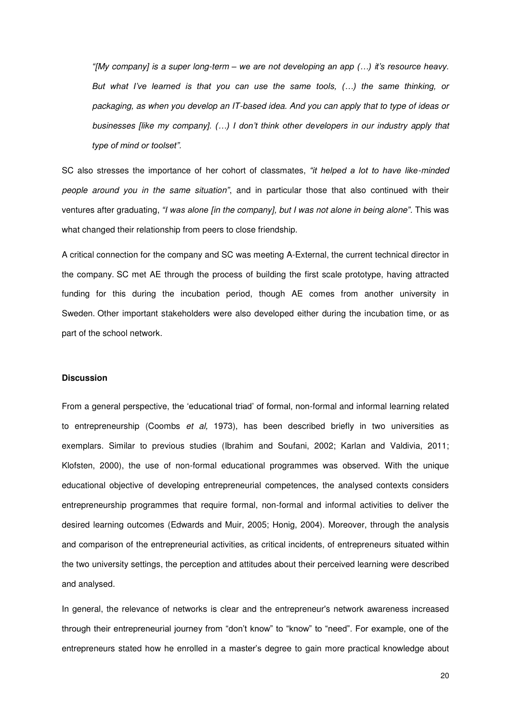*"[My company] is a super long-term – we are not developing an app (…) it's resource heavy. But what I've learned is that you can use the same tools, (…) the same thinking, or packaging, as when you develop an IT-based idea. And you can apply that to type of ideas or businesses [like my company]. (…) I don't think other developers in our industry apply that type of mind or toolset".* 

SC also stresses the importance of her cohort of classmates, *"it helped a lot to have like-minded people around you in the same situation"*, and in particular those that also continued with their ventures after graduating, *"I was alone [in the company], but I was not alone in being alone".* This was what changed their relationship from peers to close friendship.

A critical connection for the company and SC was meeting A-External, the current technical director in the company. SC met AE through the process of building the first scale prototype, having attracted funding for this during the incubation period, though AE comes from another university in Sweden. Other important stakeholders were also developed either during the incubation time, or as part of the school network.

### **Discussion**

From a general perspective, the 'educational triad' of formal, non-formal and informal learning related to entrepreneurship (Coombs *et al,* 1973), has been described briefly in two universities as exemplars. Similar to previous studies (Ibrahim and Soufani, 2002; Karlan and Valdivia, 2011; Klofsten, 2000), the use of non-formal educational programmes was observed. With the unique educational objective of developing entrepreneurial competences, the analysed contexts considers entrepreneurship programmes that require formal, non-formal and informal activities to deliver the desired learning outcomes (Edwards and Muir, 2005; Honig, 2004). Moreover, through the analysis and comparison of the entrepreneurial activities, as critical incidents, of entrepreneurs situated within the two university settings, the perception and attitudes about their perceived learning were described and analysed.

In general, the relevance of networks is clear and the entrepreneur's network awareness increased through their entrepreneurial journey from "don't know" to "know" to "need". For example, one of the entrepreneurs stated how he enrolled in a master's degree to gain more practical knowledge about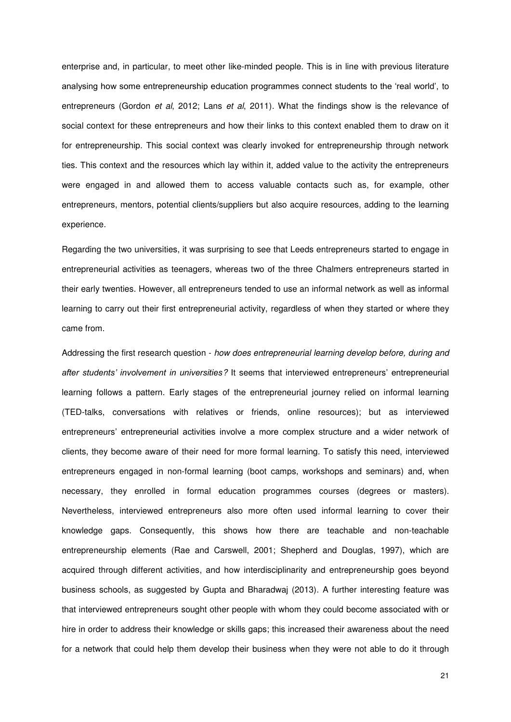enterprise and, in particular, to meet other like-minded people. This is in line with previous literature analysing how some entrepreneurship education programmes connect students to the 'real world', to entrepreneurs (Gordon *et al*, 2012; Lans *et al*, 2011). What the findings show is the relevance of social context for these entrepreneurs and how their links to this context enabled them to draw on it for entrepreneurship. This social context was clearly invoked for entrepreneurship through network ties. This context and the resources which lay within it, added value to the activity the entrepreneurs were engaged in and allowed them to access valuable contacts such as, for example, other entrepreneurs, mentors, potential clients/suppliers but also acquire resources, adding to the learning experience.

Regarding the two universities, it was surprising to see that Leeds entrepreneurs started to engage in entrepreneurial activities as teenagers, whereas two of the three Chalmers entrepreneurs started in their early twenties. However, all entrepreneurs tended to use an informal network as well as informal learning to carry out their first entrepreneurial activity, regardless of when they started or where they came from.

Addressing the first research question - *how does entrepreneurial learning develop before, during and after students' involvement in universities?* It seems that interviewed entrepreneurs' entrepreneurial learning follows a pattern. Early stages of the entrepreneurial journey relied on informal learning (TED-talks, conversations with relatives or friends, online resources); but as interviewed entrepreneurs' entrepreneurial activities involve a more complex structure and a wider network of clients, they become aware of their need for more formal learning. To satisfy this need, interviewed entrepreneurs engaged in non-formal learning (boot camps, workshops and seminars) and, when necessary, they enrolled in formal education programmes courses (degrees or masters). Nevertheless, interviewed entrepreneurs also more often used informal learning to cover their knowledge gaps. Consequently, this shows how there are teachable and non-teachable entrepreneurship elements (Rae and Carswell, 2001; Shepherd and Douglas, 1997), which are acquired through different activities, and how interdisciplinarity and entrepreneurship goes beyond business schools, as suggested by Gupta and Bharadwaj (2013). A further interesting feature was that interviewed entrepreneurs sought other people with whom they could become associated with or hire in order to address their knowledge or skills gaps; this increased their awareness about the need for a network that could help them develop their business when they were not able to do it through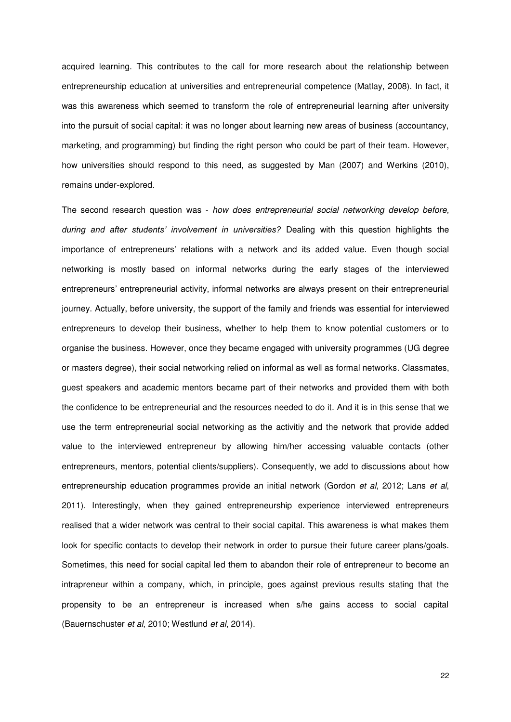acquired learning. This contributes to the call for more research about the relationship between entrepreneurship education at universities and entrepreneurial competence (Matlay, 2008). In fact, it was this awareness which seemed to transform the role of entrepreneurial learning after university into the pursuit of social capital: it was no longer about learning new areas of business (accountancy, marketing, and programming) but finding the right person who could be part of their team. However, how universities should respond to this need, as suggested by Man (2007) and Werkins (2010), remains under-explored.

The second research question was - *how does entrepreneurial social networking develop before, during and after students' involvement in universities?* Dealing with this question highlights the importance of entrepreneurs' relations with a network and its added value. Even though social networking is mostly based on informal networks during the early stages of the interviewed entrepreneurs' entrepreneurial activity, informal networks are always present on their entrepreneurial journey. Actually, before university, the support of the family and friends was essential for interviewed entrepreneurs to develop their business, whether to help them to know potential customers or to organise the business. However, once they became engaged with university programmes (UG degree or masters degree), their social networking relied on informal as well as formal networks. Classmates, guest speakers and academic mentors became part of their networks and provided them with both the confidence to be entrepreneurial and the resources needed to do it. And it is in this sense that we use the term entrepreneurial social networking as the activitiy and the network that provide added value to the interviewed entrepreneur by allowing him/her accessing valuable contacts (other entrepreneurs, mentors, potential clients/suppliers). Consequently, we add to discussions about how entrepreneurship education programmes provide an initial network (Gordon *et al*, 2012; Lans *et al*, 2011). Interestingly, when they gained entrepreneurship experience interviewed entrepreneurs realised that a wider network was central to their social capital. This awareness is what makes them look for specific contacts to develop their network in order to pursue their future career plans/goals. Sometimes, this need for social capital led them to abandon their role of entrepreneur to become an intrapreneur within a company, which, in principle, goes against previous results stating that the propensity to be an entrepreneur is increased when s/he gains access to social capital (Bauernschuster *et al*, 2010; Westlund *et al*, 2014).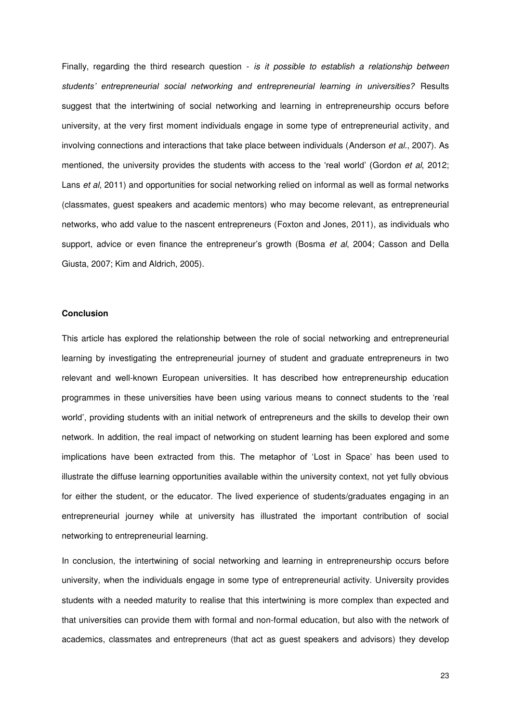Finally, regarding the third research question - *is it possible to establish a relationship between students' entrepreneurial social networking and entrepreneurial learning in universities?* Results suggest that the intertwining of social networking and learning in entrepreneurship occurs before university, at the very first moment individuals engage in some type of entrepreneurial activity, and involving connections and interactions that take place between individuals (Anderson *et al.*, 2007). As mentioned, the university provides the students with access to the 'real world' (Gordon *et al*, 2012; Lans *et al*, 2011) and opportunities for social networking relied on informal as well as formal networks (classmates, guest speakers and academic mentors) who may become relevant, as entrepreneurial networks, who add value to the nascent entrepreneurs (Foxton and Jones, 2011), as individuals who support, advice or even finance the entrepreneur's growth (Bosma *et al*, 2004; Casson and Della Giusta, 2007; Kim and Aldrich, 2005).

### **Conclusion**

This article has explored the relationship between the role of social networking and entrepreneurial learning by investigating the entrepreneurial journey of student and graduate entrepreneurs in two relevant and well-known European universities. It has described how entrepreneurship education programmes in these universities have been using various means to connect students to the 'real world', providing students with an initial network of entrepreneurs and the skills to develop their own network. In addition, the real impact of networking on student learning has been explored and some implications have been extracted from this. The metaphor of 'Lost in Space' has been used to illustrate the diffuse learning opportunities available within the university context, not yet fully obvious for either the student, or the educator. The lived experience of students/graduates engaging in an entrepreneurial journey while at university has illustrated the important contribution of social networking to entrepreneurial learning.

In conclusion, the intertwining of social networking and learning in entrepreneurship occurs before university, when the individuals engage in some type of entrepreneurial activity. University provides students with a needed maturity to realise that this intertwining is more complex than expected and that universities can provide them with formal and non-formal education, but also with the network of academics, classmates and entrepreneurs (that act as guest speakers and advisors) they develop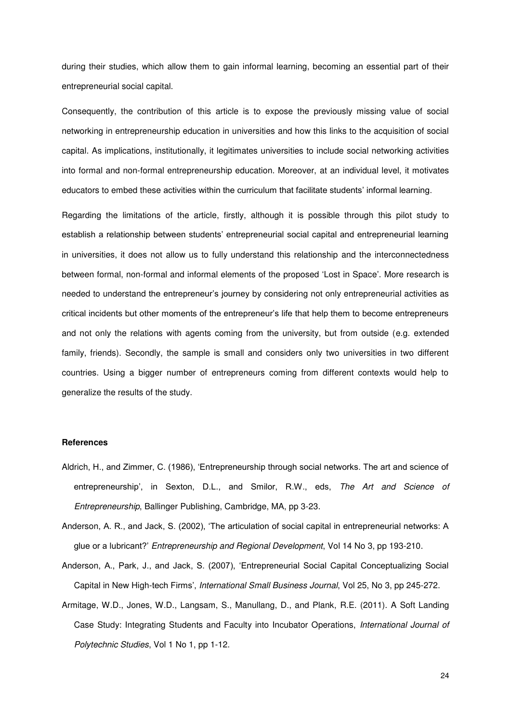during their studies, which allow them to gain informal learning, becoming an essential part of their entrepreneurial social capital.

Consequently, the contribution of this article is to expose the previously missing value of social networking in entrepreneurship education in universities and how this links to the acquisition of social capital. As implications, institutionally, it legitimates universities to include social networking activities into formal and non-formal entrepreneurship education. Moreover, at an individual level, it motivates educators to embed these activities within the curriculum that facilitate students' informal learning.

Regarding the limitations of the article, firstly, although it is possible through this pilot study to establish a relationship between students' entrepreneurial social capital and entrepreneurial learning in universities, it does not allow us to fully understand this relationship and the interconnectedness between formal, non-formal and informal elements of the proposed 'Lost in Space'. More research is needed to understand the entrepreneur's journey by considering not only entrepreneurial activities as critical incidents but other moments of the entrepreneur's life that help them to become entrepreneurs and not only the relations with agents coming from the university, but from outside (e.g. extended family, friends). Secondly, the sample is small and considers only two universities in two different countries. Using a bigger number of entrepreneurs coming from different contexts would help to generalize the results of the study.

#### **References**

- Aldrich, H., and Zimmer, C. (1986), 'Entrepreneurship through social networks. The art and science of entrepreneurship', in Sexton, D.L., and Smilor, R.W., eds, *The Art and Science of Entrepreneurship*, Ballinger Publishing, Cambridge, MA, pp 3-23.
- Anderson, A. R., and Jack, S. (2002), 'The articulation of social capital in entrepreneurial networks: A glue or a lubricant?' *Entrepreneurship and Regional Development*, Vol 14 No 3, pp 193-210.
- Anderson, A., Park, J., and Jack, S. (2007), 'Entrepreneurial Social Capital Conceptualizing Social Capital in New High-tech Firms', *International Small Business Journal*, Vol 25, No 3, pp 245-272.
- Armitage, W.D., Jones, W.D., Langsam, S., Manullang, D., and Plank, R.E. (2011). A Soft Landing Case Study: Integrating Students and Faculty into Incubator Operations, *International Journal of Polytechnic Studies*, Vol 1 No 1, pp 1-12.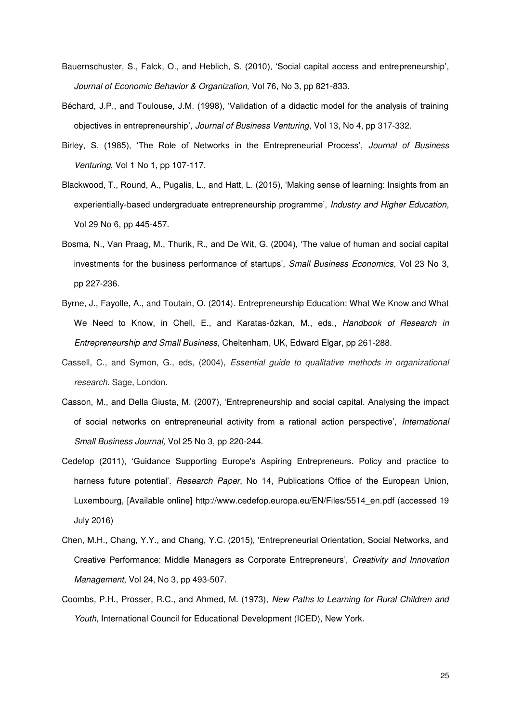- Bauernschuster, S., Falck, O., and Heblich, S. (2010), 'Social capital access and entrepreneurship', *Journal of Economic Behavior & Organization,* Vol 76, No 3, pp 821-833.
- Béchard, J.P., and Toulouse, J.M. (1998), 'Validation of a didactic model for the analysis of training objectives in entrepreneurship', *Journal of Business Venturing*, Vol 13, No 4, pp 317-332.
- Birley, S. (1985), 'The Role of Networks in the Entrepreneurial Process', *Journal of Business Venturing*, Vol 1 No 1, pp 107-117.
- Blackwood, T., Round, A., Pugalis, L., and Hatt, L. (2015), 'Making sense of learning: Insights from an experientially-based undergraduate entrepreneurship programme', *Industry and Higher Education*, Vol 29 No 6, pp 445-457.
- Bosma, N., Van Praag, M., Thurik, R., and De Wit, G. (2004), 'The value of human and social capital investments for the business performance of startups', *Small Business Economics*, Vol 23 No 3, pp 227-236.
- Byrne, J., Fayolle, A., and Toutain, O. (2014). Entrepreneurship Education: What We Know and What We Need to Know, in Chell, E., and Karatas-özkan, M., eds., *Handbook of Research in Entrepreneurship and Small Business*, Cheltenham, UK, Edward Elgar, pp 261-288.
- Cassell, C., and Symon, G., eds, (2004), *Essential guide to qualitative methods in organizational research*. Sage, London.
- Casson, M., and Della Giusta, M. (2007), 'Entrepreneurship and social capital. Analysing the impact of social networks on entrepreneurial activity from a rational action perspective', *International Small Business Journal,* Vol 25 No 3, pp 220-244.
- Cedefop (2011), 'Guidance Supporting Europe's Aspiring Entrepreneurs. Policy and practice to harness future potential'. *Research Paper*, No 14, Publications Office of the European Union, Luxembourg, [Available online] http://www.cedefop.europa.eu/EN/Files/5514\_en.pdf (accessed 19 July 2016)
- Chen, M.H., Chang, Y.Y., and Chang, Y.C. (2015), 'Entrepreneurial Orientation, Social Networks, and Creative Performance: Middle Managers as Corporate Entrepreneurs', *Creativity and Innovation Management*, Vol 24, No 3, pp 493-507.
- Coombs, P.H., Prosser, R.C., and Ahmed, M. (1973), *New Paths lo Learning for Rural Children and Youth*, International Council for Educational Development (ICED), New York.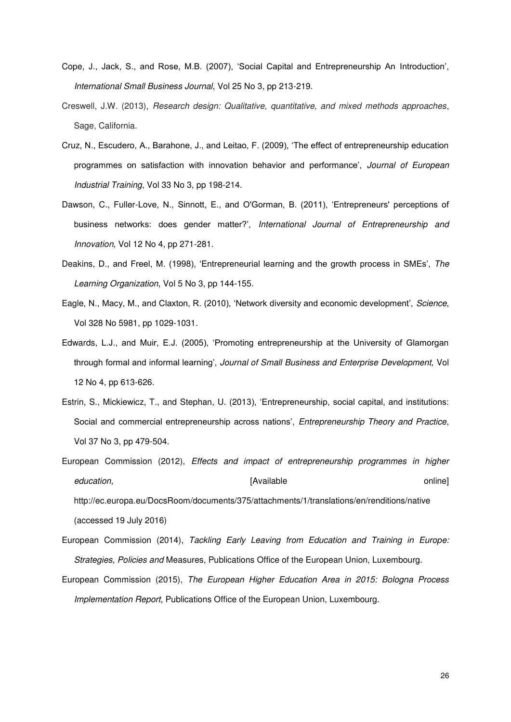- Cope, J., Jack, S., and Rose, M.B. (2007), 'Social Capital and Entrepreneurship An Introduction', *International Small Business Journal*, Vol 25 No 3, pp 213-219.
- Creswell, J.W. (2013), *Research design: Qualitative, quantitative, and mixed methods approaches*, Sage, California.
- Cruz, N., Escudero, A., Barahone, J., and Leitao, F. (2009), 'The effect of entrepreneurship education programmes on satisfaction with innovation behavior and performance', *Journal of European Industrial Training*, Vol 33 No 3, pp 198-214.
- Dawson, C., Fuller-Love, N., Sinnott, E., and O'Gorman, B. (2011), 'Entrepreneurs' perceptions of business networks: does gender matter?', *International Journal of Entrepreneurship and Innovation*, Vol 12 No 4, pp 271-281.
- Deakins, D., and Freel, M. (1998), 'Entrepreneurial learning and the growth process in SMEs', *The Learning Organization*, Vol 5 No 3, pp 144-155.
- Eagle, N., Macy, M., and Claxton, R. (2010), 'Network diversity and economic development', *Science*, Vol 328 No 5981, pp 1029-1031.
- Edwards, L.J., and Muir, E.J. (2005), 'Promoting entrepreneurship at the University of Glamorgan through formal and informal learning', *Journal of Small Business and Enterprise Development,* Vol 12 No 4, pp 613-626.
- Estrin, S., Mickiewicz, T., and Stephan, U. (2013), 'Entrepreneurship, social capital, and institutions: Social and commercial entrepreneurship across nations', *Entrepreneurship Theory and Practice*, Vol 37 No 3, pp 479-504.
- European Commission (2012), *Effects and impact of entrepreneurship programmes in higher education,* [Available online] http://ec.europa.eu/DocsRoom/documents/375/attachments/1/translations/en/renditions/native (accessed 19 July 2016)
- European Commission (2014), *Tackling Early Leaving from Education and Training in Europe: Strategies, Policies and* Measures, Publications Office of the European Union, Luxembourg.
- European Commission (2015), *The European Higher Education Area in 2015: Bologna Process Implementation Report*, Publications Office of the European Union, Luxembourg.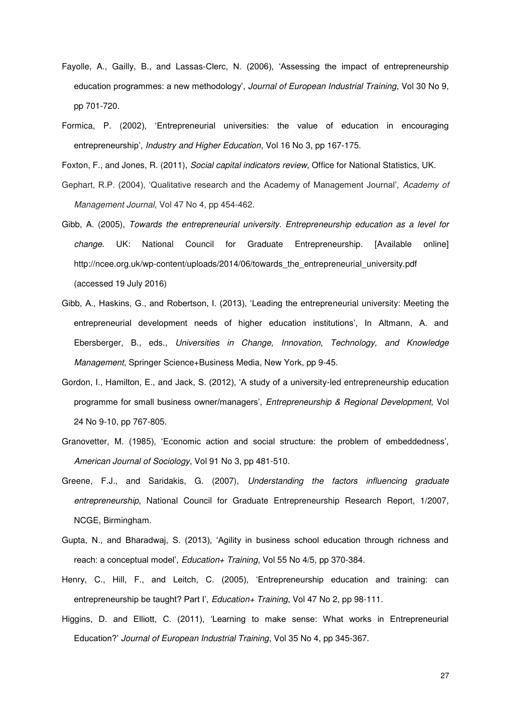- Fayolle, A., Gailly, B., and Lassas-Clerc, N. (2006), 'Assessing the impact of entrepreneurship education programmes: a new methodology', *Journal of European Industrial Training*, Vol 30 No 9, pp 701-720.
- Formica, P. (2002), 'Entrepreneurial universities: the value of education in encouraging entrepreneurship', *Industry and Higher Education*, Vol 16 No 3, pp 167-175.

Foxton, F., and Jones, R. (2011), *Social capital indicators review*, Office for National Statistics, UK.

- Gephart, R.P. (2004), 'Qualitative research and the Academy of Management Journal', *Academy of Management Journal*, Vol 47 No 4, pp 454-462.
- Gibb, A. (2005), *Towards the entrepreneurial university. Entrepreneurship education as a level for change.* UK: National Council for Graduate Entrepreneurship. [Available online] http://ncee.org.uk/wp-content/uploads/2014/06/towards\_the\_entrepreneurial\_university.pdf (accessed 19 July 2016)
- Gibb, A., Haskins, G., and Robertson, I. (2013), 'Leading the entrepreneurial university: Meeting the entrepreneurial development needs of higher education institutions', In Altmann, A. and Ebersberger, B., eds., *Universities in Change, Innovation, Technology, and Knowledge Management*, Springer Science+Business Media, New York, pp 9-45.
- Gordon, I., Hamilton, E., and Jack, S. (2012), 'A study of a university-led entrepreneurship education programme for small business owner/managers', *Entrepreneurship & Regional Development,* Vol 24 No 9-10, pp 767-805.
- Granovetter, M. (1985), 'Economic action and social structure: the problem of embeddedness', *American Journal of Sociology*, Vol 91 No 3, pp 481-510.
- Greene, F.J., and Saridakis, G. (2007), *Understanding the factors influencing graduate entrepreneurship*, National Council for Graduate Entrepreneurship Research Report, 1/2007, NCGE, Birmingham.
- Gupta, N., and Bharadwaj, S. (2013), 'Agility in business school education through richness and reach: a conceptual model', *Education+ Training*, Vol 55 No 4/5, pp 370-384.
- Henry, C., Hill, F., and Leitch, C. (2005), 'Entrepreneurship education and training: can entrepreneurship be taught? Part I', *Education+ Training*, Vol 47 No 2, pp 98-111.
- Higgins, D. and Elliott, C. (2011), 'Learning to make sense: What works in Entrepreneurial Education?' *Journal of European Industrial Training*, Vol 35 No 4, pp 345-367.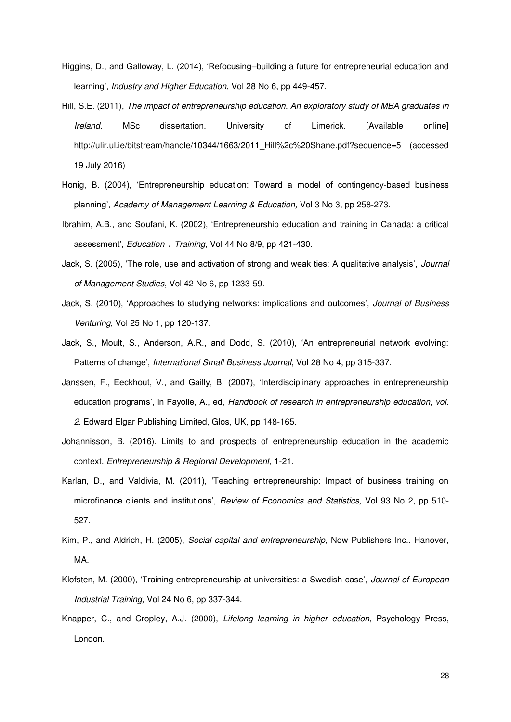- Higgins, D., and Galloway, L. (2014), 'Refocusing–building a future for entrepreneurial education and learning', *Industry and Higher Education*, Vol 28 No 6, pp 449-457.
- Hill, S.E. (2011), *The impact of entrepreneurship education. An exploratory study of MBA graduates in Ireland.* MSc dissertation. University of Limerick. [Available online] http://ulir.ul.ie/bitstream/handle/10344/1663/2011\_Hill%2c%20Shane.pdf?sequence=5 (accessed 19 July 2016)
- Honig, B. (2004), 'Entrepreneurship education: Toward a model of contingency-based business planning', *Academy of Management Learning & Education,* Vol 3 No 3, pp 258-273.
- Ibrahim, A.B., and Soufani, K. (2002), 'Entrepreneurship education and training in Canada: a critical assessment', *Education + Training*, Vol 44 No 8/9, pp 421-430.
- Jack, S. (2005), 'The role, use and activation of strong and weak ties: A qualitative analysis', *Journal of Management Studies*, Vol 42 No 6, pp 1233-59.
- Jack, S. (2010), 'Approaches to studying networks: implications and outcomes', *Journal of Business Venturing*, Vol 25 No 1, pp 120-137.
- Jack, S., Moult, S., Anderson, A.R., and Dodd, S. (2010), 'An entrepreneurial network evolving: Patterns of change', *International Small Business Journal*, Vol 28 No 4, pp 315-337.
- Janssen, F., Eeckhout, V., and Gailly, B. (2007), 'Interdisciplinary approaches in entrepreneurship education programs', in Fayolle, A., ed, *Handbook of research in entrepreneurship education, vol. 2*. Edward Elgar Publishing Limited, Glos, UK, pp 148-165.
- Johannisson, B. (2016). Limits to and prospects of entrepreneurship education in the academic context. *Entrepreneurship & Regional Development*, 1-21.
- Karlan, D., and Valdivia, M. (2011), 'Teaching entrepreneurship: Impact of business training on microfinance clients and institutions', *Review of Economics and Statistics,* Vol 93 No 2, pp 510- 527.
- Kim, P., and Aldrich, H. (2005), *Social capital and entrepreneurship*, Now Publishers Inc.. Hanover, MA.
- Klofsten, M. (2000), 'Training entrepreneurship at universities: a Swedish case', *Journal of European Industrial Training,* Vol 24 No 6, pp 337-344.
- Knapper, C., and Cropley, A.J. (2000), *Lifelong learning in higher education,* Psychology Press, London.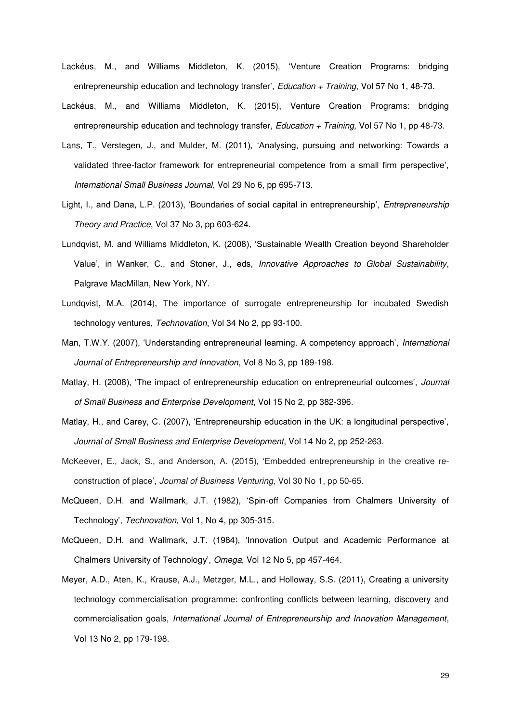- Lackéus, M., and Williams Middleton, K. (2015), 'Venture Creation Programs: bridging entrepreneurship education and technology transfer', *Education + Training*, Vol 57 No 1, 48-73.
- Lackéus, M., and Williams Middleton, K. (2015), Venture Creation Programs: bridging entrepreneurship education and technology transfer, *Education + Training,* Vol 57 No 1, pp 48-73.
- Lans, T., Verstegen, J., and Mulder, M. (2011), 'Analysing, pursuing and networking: Towards a validated three-factor framework for entrepreneurial competence from a small firm perspective', *International Small Business Journal*, Vol 29 No 6, pp 695-713.
- Light, I., and Dana, L.P. (2013), 'Boundaries of social capital in entrepreneurship', *Entrepreneurship Theory and Practice*, Vol 37 No 3, pp 603-624.
- Lundqvist, M. and Williams Middleton, K. (2008), 'Sustainable Wealth Creation beyond Shareholder Value', in Wanker, C., and Stoner, J., eds, *Innovative Approaches to Global Sustainability*, Palgrave MacMillan, New York, NY.
- Lundqvist, M.A. (2014), The importance of surrogate entrepreneurship for incubated Swedish technology ventures, *Technovation*, Vol 34 No 2, pp 93-100.
- Man, T.W.Y. (2007), 'Understanding entrepreneurial learning. A competency approach', *International Journal of Entrepreneurship and Innovation*, Vol 8 No 3, pp 189-198.
- Matlay, H. (2008), 'The impact of entrepreneurship education on entrepreneurial outcomes', *Journal of Small Business and Enterprise Development*, Vol 15 No 2, pp 382-396.
- Matlay, H., and Carey, C. (2007), 'Entrepreneurship education in the UK: a longitudinal perspective', *Journal of Small Business and Enterprise Development*, Vol 14 No 2, pp 252-263.
- McKeever, E., Jack, S., and Anderson, A. (2015), 'Embedded entrepreneurship in the creative reconstruction of place', *Journal of Business Venturing,* Vol 30 No 1, pp 50-65.
- McQueen, D.H. and Wallmark, J.T. (1982), 'Spin-off Companies from Chalmers University of Technology', *Technovation,* Vol 1, No 4, pp 305-315.
- McQueen, D.H. and Wallmark, J.T. (1984), 'Innovation Output and Academic Performance at Chalmers University of Technology', *Omega*, Vol 12 No 5, pp 457-464.
- Meyer, A.D., Aten, K., Krause, A.J., Metzger, M.L., and Holloway, S.S. (2011), Creating a university technology commercialisation programme: confronting conflicts between learning, discovery and commercialisation goals, *International Journal of Entrepreneurship and Innovation Management*, Vol 13 No 2, pp 179-198.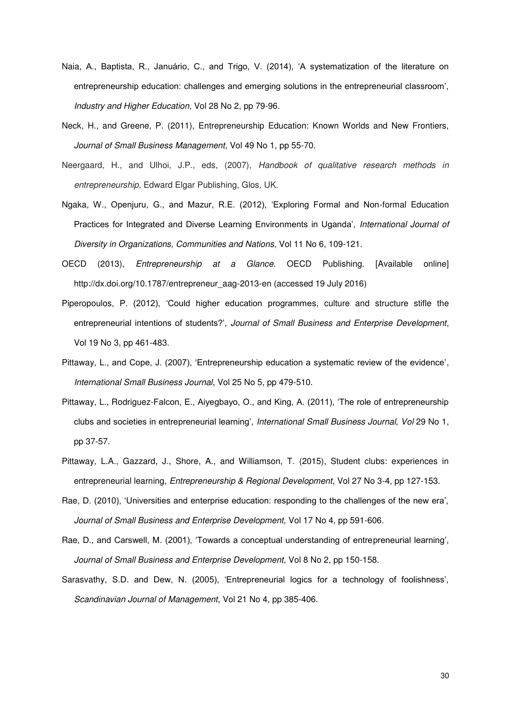- Naia, A., Baptista, R., Januário, C., and Trigo, V. (2014), 'A systematization of the literature on entrepreneurship education: challenges and emerging solutions in the entrepreneurial classroom', *Industry and Higher Education*, Vol 28 No 2, pp 79-96.
- Neck, H., and Greene, P. (2011), Entrepreneurship Education: Known Worlds and New Frontiers, *Journal of Small Business Management*, Vol 49 No 1, pp 55-70.
- Neergaard, H., and Ulhoi, J.P., eds, (2007), *Handbook of qualitative research methods in entrepreneurship*, Edward Elgar Publishing, Glos, UK.
- Ngaka, W., Openjuru, G., and Mazur, R.E. (2012), 'Exploring Formal and Non-formal Education Practices for Integrated and Diverse Learning Environments in Uganda', *International Journal of Diversity in Organizations, Communities and Nations*, Vol 11 No 6, 109-121.
- OECD (2013), *Entrepreneurship at a Glance.* OECD Publishing. [Available online] http://dx.doi.org/10.1787/entrepreneur\_aag-2013-en (accessed 19 July 2016)
- Piperopoulos, P. (2012), 'Could higher education programmes, culture and structure stifle the entrepreneurial intentions of students?', *Journal of Small Business and Enterprise Development*, Vol 19 No 3, pp 461-483.
- Pittaway, L., and Cope, J. (2007), 'Entrepreneurship education a systematic review of the evidence', *International Small Business Journal*, Vol 25 No 5, pp 479-510.
- Pittaway, L., Rodriguez-Falcon, E., Aiyegbayo, O., and King, A. (2011), 'The role of entrepreneurship clubs and societies in entrepreneurial learning', *International Small Business Journal, Vol* 29 No 1, pp 37-57.
- Pittaway, L.A., Gazzard, J., Shore, A., and Williamson, T. (2015), Student clubs: experiences in entrepreneurial learning, *Entrepreneurship & Regional Development*, Vol 27 No 3-4, pp 127-153.
- Rae, D. (2010), 'Universities and enterprise education: responding to the challenges of the new era', *Journal of Small Business and Enterprise Development,* Vol 17 No 4, pp 591-606.
- Rae, D., and Carswell, M. (2001), 'Towards a conceptual understanding of entrepreneurial learning', *Journal of Small Business and Enterprise Development,* Vol 8 No 2, pp 150-158.
- Sarasvathy, S.D. and Dew, N. (2005), 'Entrepreneurial logics for a technology of foolishness', *Scandinavian Journal of Management*, Vol 21 No 4, pp 385-406.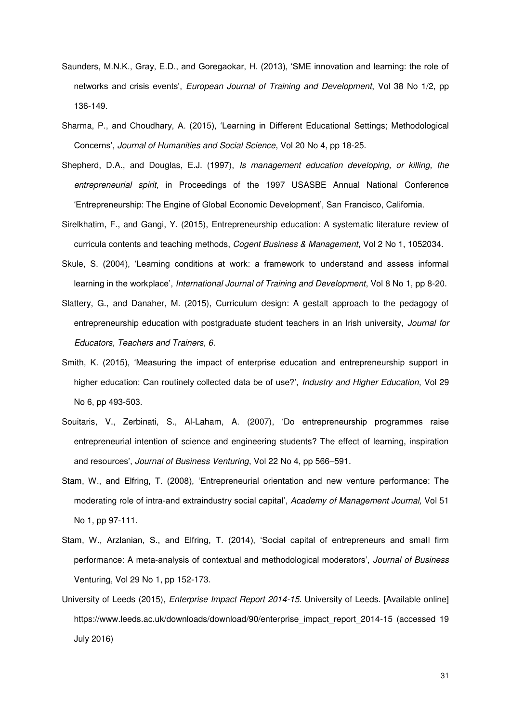- Saunders, M.N.K., Gray, E.D., and Goregaokar, H. (2013), 'SME innovation and learning: the role of networks and crisis events', *European Journal of Training and Development*, Vol 38 No 1/2, pp 136-149.
- Sharma, P., and Choudhary, A. (2015), 'Learning in Different Educational Settings; Methodological Concerns', *Journal of Humanities and Social Science*, Vol 20 No 4, pp 18-25.
- Shepherd, D.A., and Douglas, E.J. (1997), *Is management education developing, or killing, the entrepreneurial spirit*, in Proceedings of the 1997 USASBE Annual National Conference 'Entrepreneurship: The Engine of Global Economic Development', San Francisco, California.
- Sirelkhatim, F., and Gangi, Y. (2015), Entrepreneurship education: A systematic literature review of curricula contents and teaching methods, *Cogent Business & Management*, Vol 2 No 1, 1052034.
- Skule, S. (2004), 'Learning conditions at work: a framework to understand and assess informal learning in the workplace', *International Journal of Training and Development*, Vol 8 No 1, pp 8-20.
- Slattery, G., and Danaher, M. (2015), Curriculum design: A gestalt approach to the pedagogy of entrepreneurship education with postgraduate student teachers in an Irish university, *Journal for Educators, Teachers and Trainers, 6*.
- Smith, K. (2015), 'Measuring the impact of enterprise education and entrepreneurship support in higher education: Can routinely collected data be of use?', *Industry and Higher Education*, Vol 29 No 6, pp 493-503.
- Souitaris, V., Zerbinati, S., Al-Laham, A. (2007), 'Do entrepreneurship programmes raise entrepreneurial intention of science and engineering students? The effect of learning, inspiration and resources', *Journal of Business Venturing*, Vol 22 No 4, pp 566–591.
- Stam, W., and Elfring, T. (2008), 'Entrepreneurial orientation and new venture performance: The moderating role of intra-and extraindustry social capital', *Academy of Management Journal,* Vol 51 No 1, pp 97-111.
- Stam, W., Arzlanian, S., and Elfring, T. (2014), 'Social capital of entrepreneurs and small firm performance: A meta-analysis of contextual and methodological moderators', *Journal of Business*  Venturing, Vol 29 No 1, pp 152-173.
- University of Leeds (2015), *Enterprise Impact Report 2014-15.* University of Leeds. [Available online] https://www.leeds.ac.uk/downloads/download/90/enterprise\_impact\_report\_2014-15 (accessed 19 July 2016)